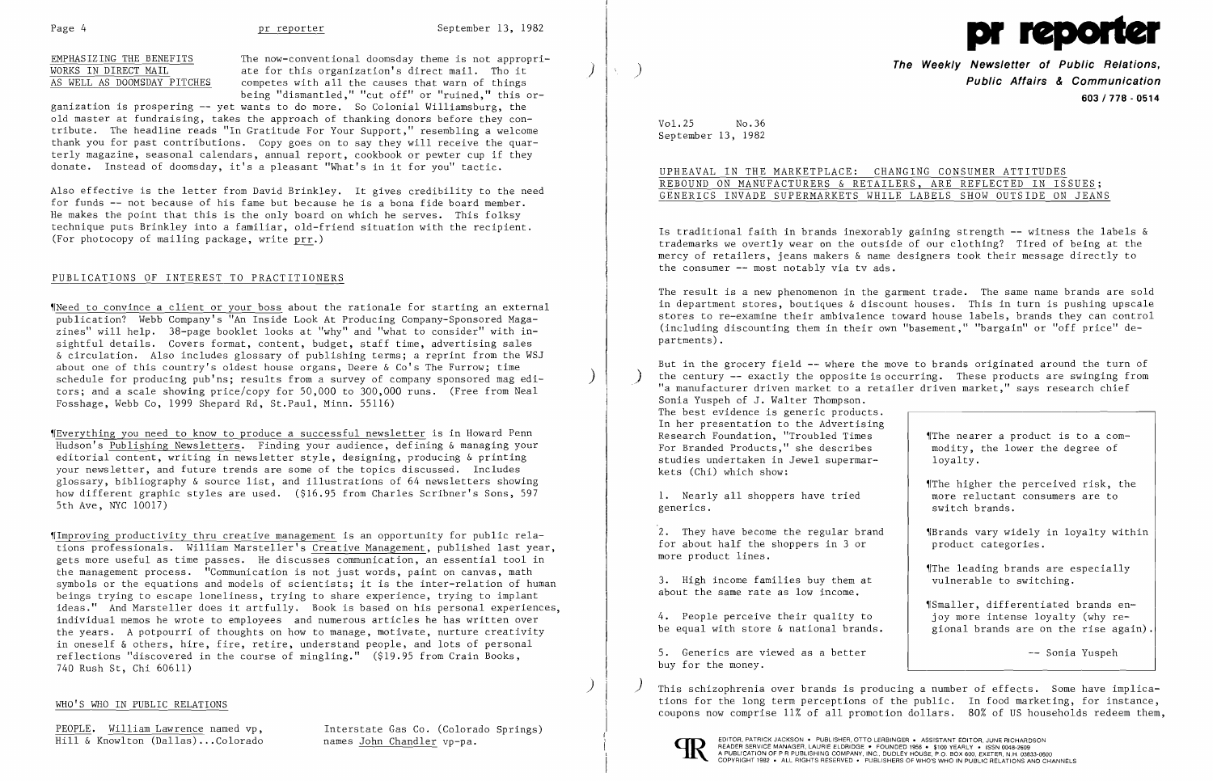Page 4 **pr reporter** September 13, 1982

EMPHASIZING THE BENEFITS The now-conventional doomsday theme is not appropri-EMPHASIZING THE BENEFITS<br>
WORKS IN DIRECT MAIL ate for this organization's direct mail. Tho it<br>
AS WELL AS DOOMSDAY PITCHES competes with all the causes that warn of things competes with all the causes that warn of things being "dismantled," "cut off" or "ruined," this or-

Also effective is the letter from David Brinkley. It gives credibility to the need for funds -- not because of his fame but because he is a bona fide board member. He makes the point that this is the only board on which he serves. This folksy technique puts Brinkley into a familiar, old-friend situation with the recipient. (For photocopy of mailing package, write  $pr.$ )

ganization is prospering -- yet wants to do more. So Colonial Williamsburg, the old master at fundraising, takes the approach of thanking donors before they contribute. The headline reads "In Gratitude For Your Support," resembling a welcome thank you for past contributions. Copy goes on to say they will receive the quarterly magazine, seasonal calendars, annual report, cookbook or pewter cup if they donate. Instead of doomsday, it's a pleasant "What's in it for you" tactic.

### PUBLICATIONS OF INTEREST TO PRACTITIONERS

~INeed to convince a client or your boss about the rationale for starting an external publication? Webb Company's "An Inside Look At Producing Company-Sponsored Magazines" will help. 38-page booklet looks at "why" and "what to consider" with insightful details. Covers format, content, budget, staff time, advertising sales & circulation. Also includes glossary of publishing terms; a reprint from the WSJ about one of this country's oldest house organs, Deere & Co's The Furrow; time schedule for producing pub'ns; results from a survey of company sponsored mag editors; and a scale showing price/copy for 50,000 to 300,000 runs. (Free from Neal Fosshage, Webb Co, 1999 Shepard Rd, St.Paul, Minn. 55116)

Is traditional faith in brands inexorably gaining strength **--** witness the labels & trademarks we overtly wear on the outside of our clothing? Tired of being at the mercy of retailers, jeans makers & name designers took their message directly to the consumer -- most notably via tv ads.

~rEverything you need to know to produce a successful newsletter is in Howard Penn Hudson's Publishing Newsletters. Finding your audience, defining & managing your editorial content, writing in newsletter style, designing, producing & printing your newsletter, and future trends are some of the topics discussed. Includes glossary, bibliography & source list, and illustrations of 64 newsletters showing how different graphic styles are used. (\$16.95 from Charles Scribner's Sons, 597 5th Ave, NYC 10017)

> 2. They have become the regular brand . When widely in loyalty within for about half the shoppers in 3 or  $\qquad$  product categories. more product lines.

3. High income families buy them at  $|$  vulnerable to switching. about the same rate as low income.

4. People perceive their quality to  $\vert$  joy more intense loyalty (why rebe equal with store  $\&$  national brands.  $\qquad$  gional brands are on the rise again).

5. Generics are viewed as a better -- Sonia Yuspeh buy for the money.

'IImproving productivity thru creative management is an opportunity for public relations professionals. William Marsteller's Creative Management, published last year, gets more useful as time passes. He discusses communication, an essential tool in the management process. "Communication is not just words, paint on canvas, math symbols or the equations and models of scientists; it is the inter-relation of human beings trying to escape loneliness, trying to share experience, trying to implant ideas." And Marsteller does it artfully. Book is based on his personal experiences, individual memos he wrote to employees and numerous articles he has written over the years. A potpourri of thoughts on how to manage, motivate, nurture creativity in oneself & others, hire, fire, retire, understand people, and lots of personal reflections "discovered in the course of mingling." (\$19.95 from Crain Books, 740 Rush St, Chi 60611)

PEOPLE. William Lawrence named vp,<br>
Hill & Knowlton (Dallas)...Colorado hames John Chandler vp-pa.

This schizophrenia over brands is producing a number of effects. Some have implica-WHO'S WHO IN PUBLIC RELATIONS **EXECUTE:** THE 100 MET THE LONG TO THE LONG TO THE LONG TO THE PUBLIC. In food marketing, for instance, coupons now comprise 11% of all promotion dollars. 80% of US households redeem them,





**The Weekly Newsletter of Public Relations,** ) **Public Affairs & Communication 603/778 - 0514** 

The higher the perceived risk, the 1. Nearly all shoppers have tried and more reluctant consumers are to

The leading brands are especially

Vol.25 No.36 September 13, 1982

# UPHEAVAL IN THE MARKETPLACE: CHANGING CONSUMER ATTITUDES REBOUND ON MANUFACTURERS & RETAILERS, ARE REFLECTED IN ISSUES; GENERICS INVADE SUPERMARKETS WHILE LABELS SHOW OUTSIDE ON JEANS

The result is a new phenomenon in the garment trade. The same name brands are sold in department stores, boutiques & discount houses. This in turn is pushing upscale stores to re-examine their ambivalence toward house labels, brands they can control (including discounting them in their own "basement," "bargain" or "off price" departments).

But in the grocery field -- where the move to brands originated around the turn of the century -- exactly the opposite is occurring. These products are swinging from "a manufacturer driven market to a retailer driven market," says research chief Sonia Yuspeh of J. Walter Thompson. The best evidence is generic products. In her presentation to the Advertising Research Foundation, "Troubled Times  $\begin{array}{c|c} \text{If } \mathsf{R} \text{ is the same number of } \mathsf{R} \text{ is the same number of } \mathsf{R} \text{ is the same number of } \mathsf{R} \text{ is the same number of } \mathsf{R} \text{ is the same number of } \mathsf{R} \text{ is the same number of } \mathsf{R} \text{ is the same number of } \mathsf{R} \text{ is the same number of } \mathsf{R} \text{ is the same number of } \mathsf{R} \text{ is the same number of } \mathsf{R} \text{ is the same number of } \mathsf{$ For Branded Products," she describes studies undertaken in Jewel supermar- $\vert$  loyalty. kets (Chi) which show:

generics.  $\vert$  switch brands.

~rSmaller, differentiated brands en-